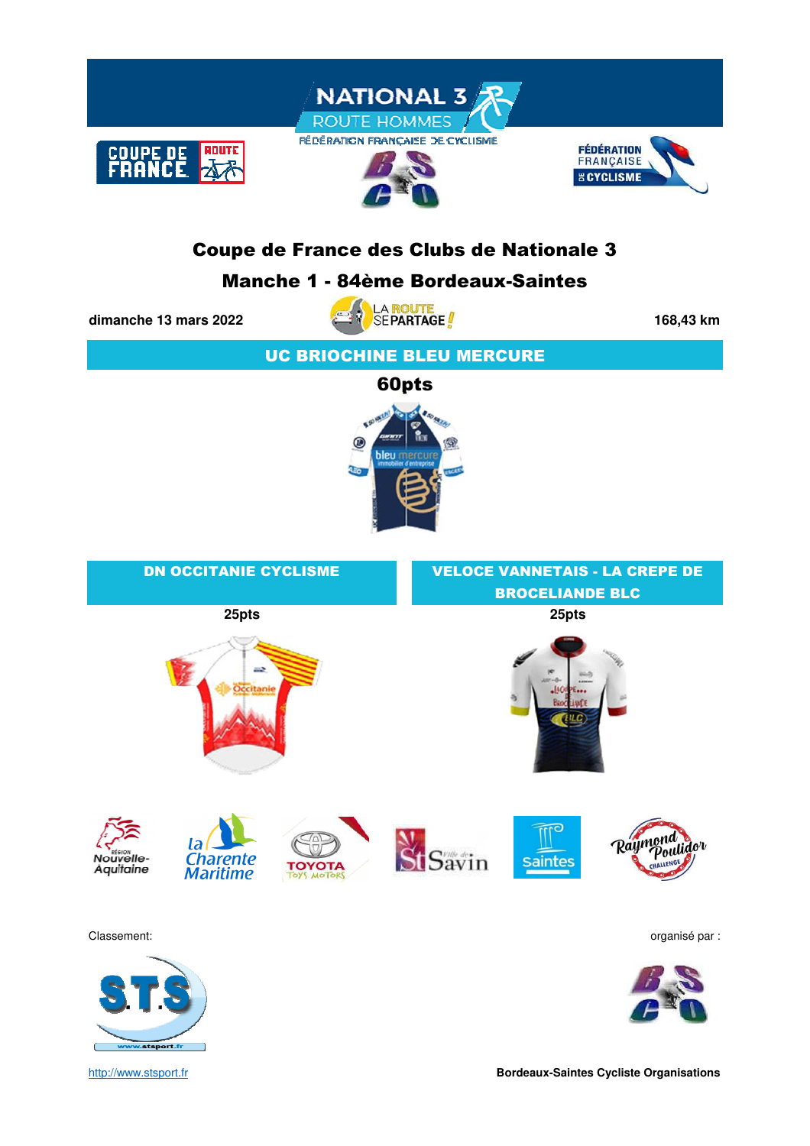

## Coupe de France des Clubs de Nationale 3

### Manche 1 - 84ème Bordeaux-Saintes

stsport.fr



UC BRIOCHINE BLEU MERCURE



| <b>DN OCCITANIE CYCLISME</b>                                                                           | <b>VELOCE VANNETAIS - LA CREPE DE</b>        |  |  |  |  |  |
|--------------------------------------------------------------------------------------------------------|----------------------------------------------|--|--|--|--|--|
|                                                                                                        | <b>BROCELIANDE BLC</b>                       |  |  |  |  |  |
| 25pts                                                                                                  | 25pts                                        |  |  |  |  |  |
| aab.<br>Occitanie                                                                                      | $20 - 8$                                     |  |  |  |  |  |
| la <b>Charente</b><br>Nouvelle-<br><b>TOYOTA</b><br>Aquitaine<br><b>Maritime</b><br><b>TOYS MOTORS</b> | rØ<br>Raymond dov<br>Savin<br><b>Saintes</b> |  |  |  |  |  |
| Classement:                                                                                            | organisé par :                               |  |  |  |  |  |
|                                                                                                        |                                              |  |  |  |  |  |

http://www.stsport.fr **Bordeaux-Saintes Cycliste Organisations**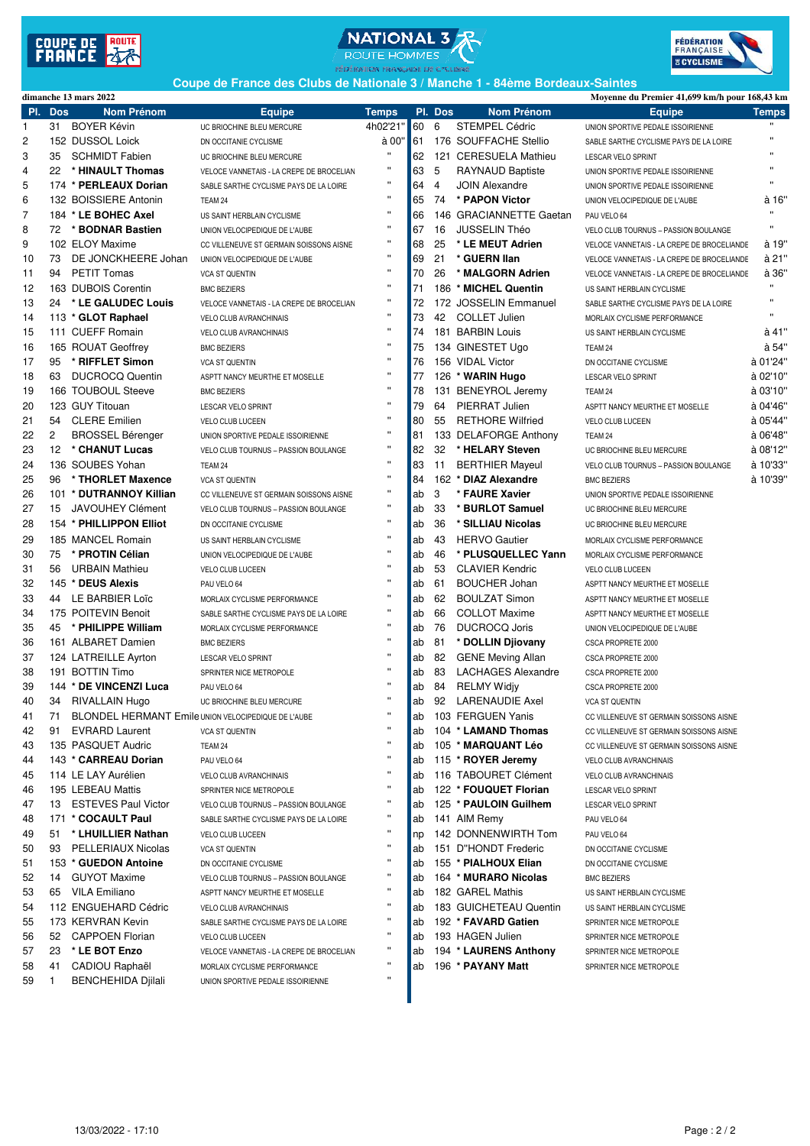





**Coupe de France des Clubs de Nationale 3 / Manche 1 - 84ème Bordeaux-Saintes**

|          | dimanche 13 mars 2022                                  |                                          |                    |          |                |                           | Moyenne du Premier 41,699 km/h pour 168,43 km |          |
|----------|--------------------------------------------------------|------------------------------------------|--------------------|----------|----------------|---------------------------|-----------------------------------------------|----------|
| PI.      | <b>Dos</b><br><b>Nom Prénom</b>                        | <b>Equipe</b>                            | <b>Temps</b>       |          | PI. Dos        | <b>Nom Prénom</b>         | <b>Equipe</b>                                 | Temps    |
| 1        | 31 BOYER Kévin                                         | UC BRIOCHINE BLEU MERCURE                | 4h02'21"           | 60       | 6              | <b>STEMPEL Cédric</b>     | UNION SPORTIVE PEDALE ISSOIRIENNE             |          |
| 2        | 152 DUSSOL Loick                                       | DN OCCITANIE CYCLISME                    | à 00"              | 61       |                | 176 SOUFFACHE Stellio     | SABLE SARTHE CYCLISME PAYS DE LA LOIRE        |          |
| 3        | 35<br><b>SCHMIDT Fabien</b>                            | UC BRIOCHINE BLEU MERCURE                | $\mathbf{H}$       | 62       |                | 121 CERESUELA Mathieu     | LESCAR VELO SPRINT                            |          |
| 4        | 22<br>* HINAULT Thomas                                 | VELOCE VANNETAIS - LA CREPE DE BROCELIAN |                    | 63       | 5              | RAYNAUD Baptiste          | UNION SPORTIVE PEDALE ISSOIRIENNE             |          |
| 5        | 174 * PERLEAUX Dorian                                  | SABLE SARTHE CYCLISME PAYS DE LA LOIRE   | .,                 | 64       | $\overline{4}$ | <b>JOIN Alexandre</b>     | UNION SPORTIVE PEDALE ISSOIRIENNE             |          |
| 6        | 132 BOISSIERE Antonin                                  | TEAM 24                                  | $\pmb{\mathsf{u}}$ | 65       | 74             | * PAPON Victor            | UNION VELOCIPEDIQUE DE L'AUBE                 | à 16'    |
| 7        | 184 * LE BOHEC Axel                                    | US SAINT HERBLAIN CYCLISME               | Ħ                  | 66       |                | 146 GRACIANNETTE Gaetan   | PAU VELO 64                                   |          |
| 8        | * BODNAR Bastien<br>72                                 | UNION VELOCIPEDIQUE DE L'AUBE            | $\mathbf{H}$       | 67       | 16             | JUSSELIN Théo             | VELO CLUB TOURNUS - PASSION BOULANGE          |          |
| 9        | 102 ELOY Maxime                                        | CC VILLENEUVE ST GERMAIN SOISSONS AISNE  | $\pmb{\mathsf{H}}$ | 68       | 25             | * LE MEUT Adrien          | VELOCE VANNETAIS - LA CREPE DE BROCELIANDE    | à 19"    |
| 10       | DE JONCKHEERE Johan<br>73                              | UNION VELOCIPEDIQUE DE L'AUBE            | $\mathbf{H}$       | 69       | 21             | * GUERN IIan              | VELOCE VANNETAIS - LA CREPE DE BROCELIANDE    | à 21"    |
| 11       | <b>PETIT Tomas</b><br>94                               | <b>VCA ST QUENTIN</b>                    | $\pmb{\mathsf{u}}$ | 70       | 26             | * MALGORN Adrien          | VELOCE VANNETAIS - LA CREPE DE BROCELIANDE    | à 36'    |
| 12       | 163 DUBOIS Corentin                                    | <b>BMC BEZIERS</b>                       | $\mathbf{H}$       | 71       |                | 186 * MICHEL Quentin      | US SAINT HERBLAIN CYCLISME                    |          |
| 13       | * LE GALUDEC Louis<br>24                               | VELOCE VANNETAIS - LA CREPE DE BROCELIAN | $\pmb{\mathsf{u}}$ | 72       |                | 172 JOSSELIN Emmanuel     | SABLE SARTHE CYCLISME PAYS DE LA LOIRE        | π        |
| 14       | 113 * GLOT Raphael                                     | <b>VELO CLUB AVRANCHINAIS</b>            | $\mathbf{H}$       | 73       |                | 42 COLLET Julien          | MORLAIX CYCLISME PERFORMANCE                  |          |
| 15       | 111 CUEFF Romain                                       | VELO CLUB AVRANCHINAIS                   | $\mathbf{H}$       | 74       |                | 181 BARBIN Louis          | US SAINT HERBLAIN CYCLISME                    | à 41"    |
| 16       | 165 ROUAT Geoffrey                                     | <b>BMC BEZIERS</b>                       | $\pmb{\mathsf{u}}$ | 75       |                | 134 GINESTET Ugo          | TEAM 24                                       | à 54"    |
| 17       | 95<br>* RIFFLET Simon                                  | <b>VCA ST QUENTIN</b>                    | Ħ                  | 76       |                | 156 VIDAL Victor          | DN OCCITANIE CYCLISME                         | à 01'24' |
| 18       | <b>DUCROCQ Quentin</b><br>63                           | ASPTT NANCY MEURTHE ET MOSELLE           | $\mathbf{u}$       | 77       |                | 126 * WARIN Hugo          | LESCAR VELO SPRINT                            | à 02'10" |
| 19       | 166 TOUBOUL Steeve                                     | <b>BMC BEZIERS</b>                       | $\mathbf{H}$       | 78       |                | 131 BENEYROL Jeremy       | TEAM 24                                       | à 03'10" |
| 20       | 123 GUY Titouan                                        | LESCAR VELO SPRINT                       | $\mathbf{H}$       | 79       | 64             | PIERRAT Julien            | ASPTT NANCY MEURTHE ET MOSELLE                | à 04'46" |
| 21       | <b>CLERE</b> Emilien<br>54                             | VELO CLUB LUCEEN                         | $\pmb{\mathsf{u}}$ | 80       | 55             | <b>RETHORE Wilfried</b>   | VELO CLUB LUCEEN                              | à 05'44" |
| 22       | $\overline{c}$<br><b>BROSSEL Bérenger</b>              | UNION SPORTIVE PEDALE ISSOIRIENNE        | $\pmb{\mathsf{u}}$ | 81       |                | 133 DELAFORGE Anthony     | TEAM 24                                       | à 06'48' |
| 23       | * CHANUT Lucas<br>12                                   | VELO CLUB TOURNUS - PASSION BOULANGE     | $\pmb{\mathsf{u}}$ | 82       | 32             | * HELARY Steven           | UC BRIOCHINE BLEU MERCURE                     | à 08'12" |
| 24       | 136 SOUBES Yohan                                       | TEAM 24                                  | $\mathbf{H}$       | 83       | 11             | <b>BERTHIER Mayeul</b>    | VELO CLUB TOURNUS - PASSION BOULANGE          | à 10'33" |
| 25       | * THORLET Maxence<br>96                                | <b>VCA ST QUENTIN</b>                    | $\mathbf{H}$       | 84       |                | 162 * DIAZ Alexandre      | <b>BMC BEZIERS</b>                            | à 10'39" |
| 26       | 101 * DUTRANNOY Killian                                | CC VILLENEUVE ST GERMAIN SOISSONS AISNE  | $\pmb{\mathsf{u}}$ | ab       | 3              | * FAURE Xavier            | UNION SPORTIVE PEDALE ISSOIRIENNE             |          |
| 27       | 15<br><b>JAVOUHEY Clément</b>                          | VELO CLUB TOURNUS - PASSION BOULANGE     | $\pmb{\mathsf{u}}$ | ab       | 33             | * BURLOT Samuel           | UC BRIOCHINE BLEU MERCURE                     |          |
| 28       | 154 * PHILLIPPON Elliot                                | DN OCCITANIE CYCLISME                    | $\mathbf{H}$       | ab       | 36             | * SILLIAU Nicolas         | UC BRIOCHINE BLEU MERCURE                     |          |
| 29       | 185 MANCEL Romain                                      |                                          | $\mathbf{H}$       | ab       | 43             | <b>HERVO Gautier</b>      |                                               |          |
| 30       | * PROTIN Célian<br>75                                  | US SAINT HERBLAIN CYCLISME               | $\pmb{\mathsf{u}}$ |          | 46             | * PLUSQUELLEC Yann        | MORLAIX CYCLISME PERFORMANCE                  |          |
|          |                                                        | UNION VELOCIPEDIQUE DE L'AUBE            | $\mathbf{H}$       | ab       | 53             |                           | MORLAIX CYCLISME PERFORMANCE                  |          |
| 31<br>32 | <b>URBAIN Mathieu</b><br>56<br>145 * DEUS Alexis       | VELO CLUB LUCEEN                         | $\pmb{\mathsf{u}}$ | ab<br>ab | 61             | <b>CLAVIER Kendric</b>    | VELO CLUB LUCEEN                              |          |
|          |                                                        | PAU VELO 64                              | $\pmb{\mathsf{u}}$ |          | 62             | <b>BOUCHER Johan</b>      | ASPTT NANCY MEURTHE ET MOSELLE                |          |
| 33       | 44 LE BARBIER Loic                                     | MORLAIX CYCLISME PERFORMANCE             | $\pmb{\mathsf{u}}$ | ab       |                | <b>BOULZAT Simon</b>      | ASPTT NANCY MEURTHE ET MOSELLE                |          |
| 34       | 175 POITEVIN Benoit                                    | SABLE SARTHE CYCLISME PAYS DE LA LOIRE   | $\mathbf{H}$       | ab       | 66             | <b>COLLOT Maxime</b>      | ASPTT NANCY MEURTHE ET MOSELLE                |          |
| 35       | 45 * PHILIPPE William                                  | MORLAIX CYCLISME PERFORMANCE             | $\mathbf{H}$       | ab       | 76             | <b>DUCROCQ Joris</b>      | UNION VELOCIPEDIQUE DE L'AUBE                 |          |
| 36       | 161 ALBARET Damien                                     | <b>BMC BEZIERS</b>                       | $\pmb{\mathsf{u}}$ | ab       | 81<br>82       | * DOLLIN Djiovany         | CSCA PROPRETE 2000                            |          |
| 37       | 124 LATREILLE Ayrton<br>191 BOTTIN Timo                | LESCAR VELO SPRINT                       | $\mathbf{H}$       | ab       | 83             | <b>GENE Meving Allan</b>  | CSCA PROPRETE 2000                            |          |
| 38       |                                                        | SPRINTER NICE METROPOLE                  | $\mathbf{H}$       | ab       |                | <b>LACHAGES Alexandre</b> | CSCA PROPRETE 2000                            |          |
| 39       | 144 * DE VINCENZI Luca                                 | PAU VELO 64                              | $\mathbf{H}$       | ab       | 84<br>92       | <b>RELMY Widiv</b>        | CSCA PROPRETE 2000                            |          |
| 40       | 34 RIVALLAIN Hugo                                      | UC BRIOCHINE BLEU MERCURE                | $\pmb{\mathsf{u}}$ | ab       |                | LARENAUDIE Axel           | <b>VCA ST QUENTIN</b>                         |          |
| 41       | 71 BLONDEL HERMANT Emile UNION VELOCIPEDIQUE DE L'AUBE |                                          | .,                 | ab       |                | 103 FERGUEN Yanis         | CC VILLENEUVE ST GERMAIN SOISSONS AISNE       |          |
| 42       | 91 EVRARD Laurent                                      | <b>VCA ST QUENTIN</b>                    | $\pmb{\mathsf{u}}$ | ab       |                | 104 * LAMAND Thomas       | CC VILLENEUVE ST GERMAIN SOISSONS AISNE       |          |
| 43       | 135 PASQUET Audric                                     | TEAM 24                                  | $\pmb{\mathsf{H}}$ | ab       |                | 105 * MARQUANT Léo        | CC VILLENEUVE ST GERMAIN SOISSONS AISNE       |          |
| 44       | 143 * CARREAU Dorian                                   | PAU VELO 64                              | π                  | ab       |                | 115 * ROYER Jeremy        | <b>VELO CLUB AVRANCHINAIS</b>                 |          |
| 45       | 114 LE LAY Aurélien                                    | VELO CLUB AVRANCHINAIS                   | $\pmb{\mathsf{H}}$ | ab       |                | 116 TABOURET Clément      | VELO CLUB AVRANCHINAIS                        |          |
| 46       | 195 LEBEAU Mattis                                      | SPRINTER NICE METROPOLE                  | π                  | ab       |                | 122 * FOUQUET Florian     | LESCAR VELO SPRINT                            |          |
| 47       | 13 ESTEVES Paul Victor                                 | VELO CLUB TOURNUS - PASSION BOULANGE     | $\pmb{\mathsf{H}}$ | ab       |                | 125 * PAULOIN Guilhem     | LESCAR VELO SPRINT                            |          |
| 48       | 171 * COCAULT Paul                                     | SABLE SARTHE CYCLISME PAYS DE LA LOIRE   | $\pmb{\mathsf{H}}$ | ab       |                | 141 AIM Remy              | PAU VELO 64                                   |          |
| 49       | 51 * LHUILLIER Nathan                                  | <b>VELO CLUB LUCEEN</b>                  |                    | np       |                | 142 DONNENWIRTH Tom       | PAU VELO 64                                   |          |
| 50       | 93 PELLERIAUX Nicolas                                  | <b>VCA ST QUENTIN</b>                    |                    | ab       |                | 151 D"HONDT Frederic      | DN OCCITANIE CYCLISME                         |          |
| 51       | 153 * GUEDON Antoine                                   | DN OCCITANIE CYCLISME                    |                    | ab       |                | 155 * PIALHOUX Elian      | DN OCCITANIE CYCLISME                         |          |
| 52       | <b>GUYOT Maxime</b><br>14                              | VELO CLUB TOURNUS - PASSION BOULANGE     | $\pmb{\mathsf{H}}$ | ab       |                | 164 * MURARO Nicolas      | <b>BMC BEZIERS</b>                            |          |
| 53       | 65 VILA Emiliano                                       | ASPTT NANCY MEURTHE ET MOSELLE           | $\pmb{\mathsf{u}}$ | ab       |                | 182 GAREL Mathis          | US SAINT HERBLAIN CYCLISME                    |          |
| 54       | 112 ENGUEHARD Cédric                                   | <b>VELO CLUB AVRANCHINAIS</b>            | $\pmb{\mathsf{H}}$ | ab       |                | 183 GUICHETEAU Quentin    | US SAINT HERBLAIN CYCLISME                    |          |
| 55       | 173 KERVRAN Kevin                                      | SABLE SARTHE CYCLISME PAYS DE LA LOIRE   | π                  | ab       |                | 192 * FAVARD Gatien       | SPRINTER NICE METROPOLE                       |          |
| 56       | 52 CAPPOEN Florian                                     | <b>VELO CLUB LUCEEN</b>                  |                    | ab       |                | 193 HAGEN Julien          | SPRINTER NICE METROPOLE                       |          |
| 57       | * LE BOT Enzo<br>23                                    | VELOCE VANNETAIS - LA CREPE DE BROCELIAN | π                  | ab       |                | 194 * LAURENS Anthony     | SPRINTER NICE METROPOLE                       |          |
| 58       | 41<br>CADIOU Raphaël                                   | MORLAIX CYCLISME PERFORMANCE             | $\pmb{\mathsf{u}}$ | ab       |                | 196 * PAYANY Matt         | SPRINTER NICE METROPOLE                       |          |
| 59       | <b>BENCHEHIDA Djilali</b><br>-1                        | UNION SPORTIVE PEDALE ISSOIRIENNE        |                    |          |                |                           |                                               |          |
|          |                                                        |                                          |                    |          |                |                           |                                               |          |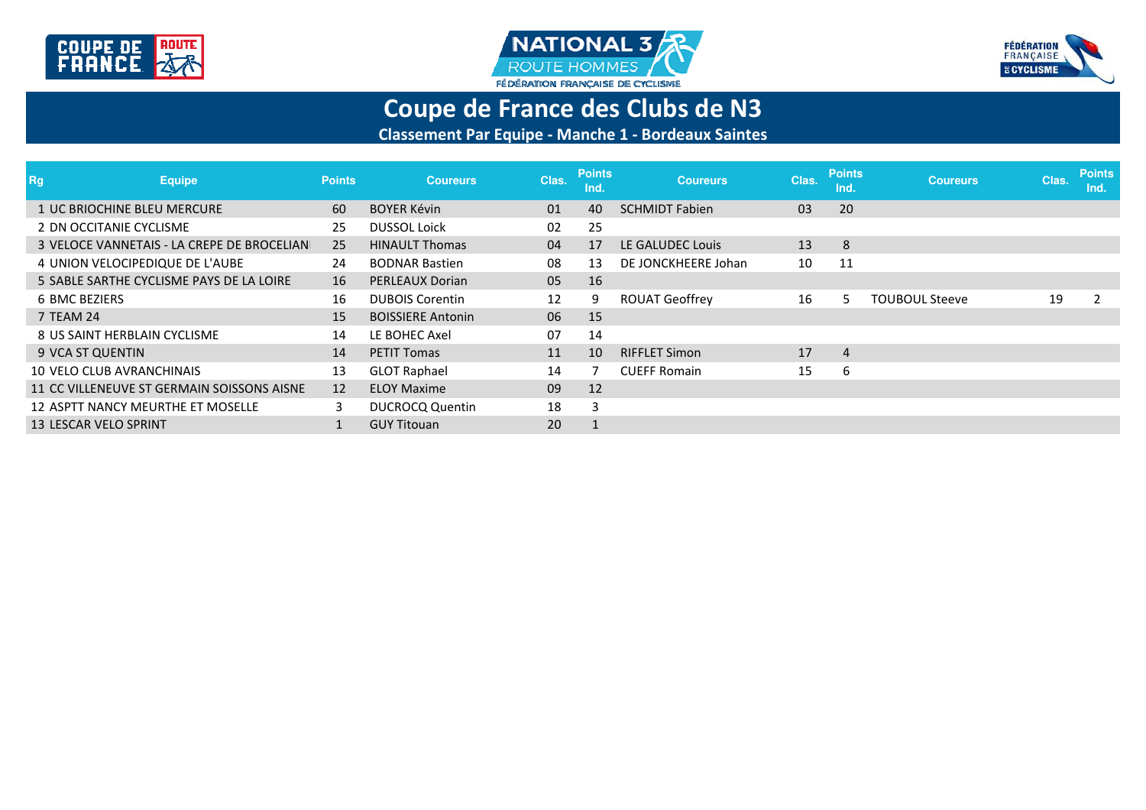





# **Coupe de France des Clubs de N3**

**Classement Par Equipe - Manche 1 - Bordeaux Saintes**

| <b>Rg</b><br><b>Equipe</b>                 | <b>Points</b> | <b>Coureurs</b>          | Clas. | <b>Points</b><br>Ind. | <b>Coureurs</b>       | Clas. | <b>Points</b><br>Ind. | <b>Coureurs</b>       | Clas. | <b>Points</b><br>Ind. |
|--------------------------------------------|---------------|--------------------------|-------|-----------------------|-----------------------|-------|-----------------------|-----------------------|-------|-----------------------|
| 1 UC BRIOCHINE BLEU MERCURE                | 60            | <b>BOYER Kévin</b>       | 01    | 40                    | <b>SCHMIDT Fabien</b> | 03    | 20                    |                       |       |                       |
| 2 DN OCCITANIE CYCLISME                    | 25            | <b>DUSSOL Loick</b>      | 02    | 25                    |                       |       |                       |                       |       |                       |
| 3 VELOCE VANNETAIS - LA CREPE DE BROCELIAN | 25            | <b>HINAULT Thomas</b>    | 04    | 17                    | LE GALUDEC Louis      | 13    | 8                     |                       |       |                       |
| 4 UNION VELOCIPEDIQUE DE L'AUBE            | 24            | <b>BODNAR Bastien</b>    | 08    | 13                    | DE JONCKHEERE Johan   | 10    | 11                    |                       |       |                       |
| 5 SABLE SARTHE CYCLISME PAYS DE LA LOIRE   | 16            | PERLEAUX Dorian          | 05    | 16                    |                       |       |                       |                       |       |                       |
| 6 BMC BEZIERS                              | 16            | <b>DUBOIS Corentin</b>   | 12    |                       | <b>ROUAT Geoffrey</b> | 16    | 5                     | <b>TOUBOUL Steeve</b> | 19    |                       |
| 7 TEAM 24                                  | 15            | <b>BOISSIERE Antonin</b> | 06    | 15                    |                       |       |                       |                       |       |                       |
| 8 US SAINT HERBLAIN CYCLISME               | 14            | LE BOHEC Axel            | 07    | 14                    |                       |       |                       |                       |       |                       |
| 9 VCA ST QUENTIN                           | 14            | <b>PETIT Tomas</b>       | 11    | 10                    | <b>RIFFLET Simon</b>  | 17    | 4                     |                       |       |                       |
| 10 VELO CLUB AVRANCHINAIS                  | 13            | <b>GLOT Raphael</b>      | 14    |                       | <b>CUEFF Romain</b>   | 15    | 6                     |                       |       |                       |
| 11 CC VILLENEUVE ST GERMAIN SOISSONS AISNE | 12            | <b>ELOY Maxime</b>       | 09    | 12                    |                       |       |                       |                       |       |                       |
| 12 ASPTT NANCY MEURTHE ET MOSELLE          | 3             | <b>DUCROCQ Quentin</b>   | 18    |                       |                       |       |                       |                       |       |                       |
| 13 LESCAR VELO SPRINT                      |               | <b>GUY Titouan</b>       | 20    | $\perp$               |                       |       |                       |                       |       |                       |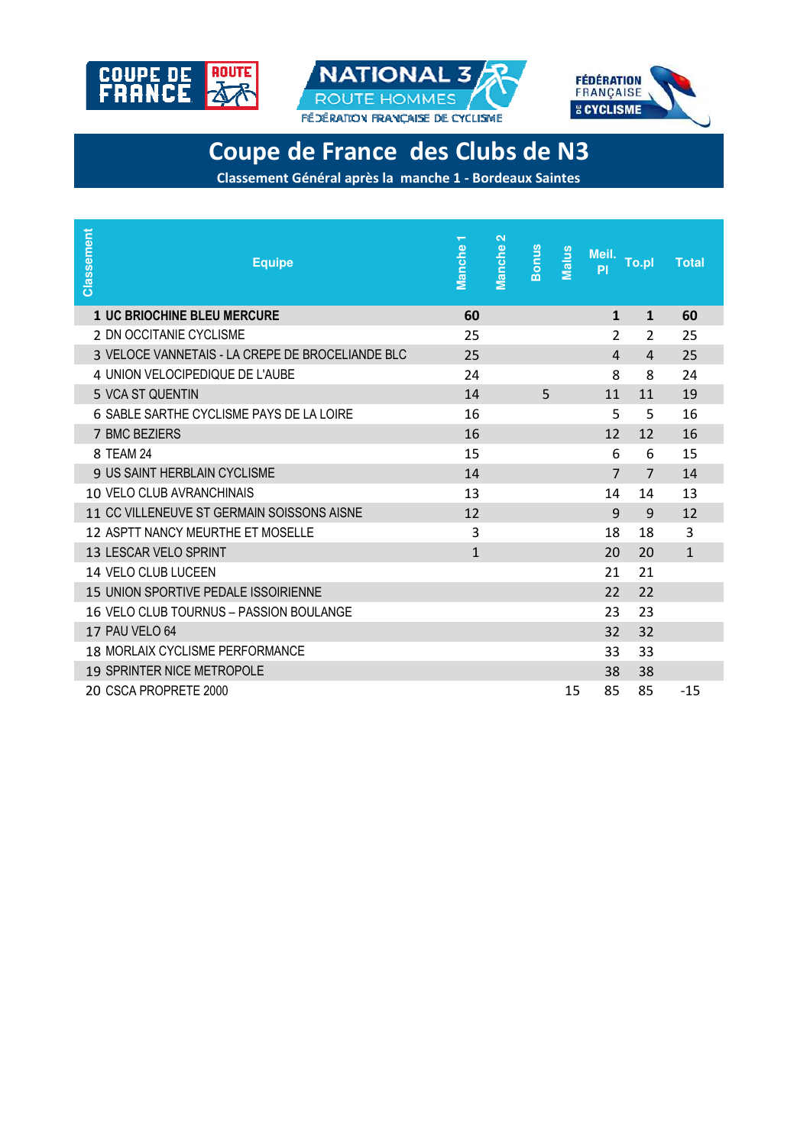





# **Coupe de France des Clubs de N3**

**Classement Général après la manche 1 - Bordeaux Saintes**

| Classement<br><b>Equipe</b>                      | $\overline{\mathbf{r}}$<br>Manche | $\mathbf{\alpha}$<br>Manche<br><b>Bonus</b> | Malus<br>Meil. To.pl<br>PI |                | <b>Total</b> |
|--------------------------------------------------|-----------------------------------|---------------------------------------------|----------------------------|----------------|--------------|
| <b>1 UC BRIOCHINE BLEU MERCURE</b>               | 60                                |                                             | 1                          | $\mathbf{1}$   | 60           |
| 2 DN OCCITANIE CYCLISME                          | 25                                |                                             | 2                          | $\overline{2}$ | 25           |
| 3 VELOCE VANNETAIS - LA CREPE DE BROCELIANDE BLC | 25                                |                                             | $\overline{4}$             | $\overline{4}$ | 25           |
| 4 UNION VELOCIPEDIQUE DE L'AUBE                  | 24                                |                                             | 8                          | 8              | 24           |
| 5 VCA ST QUENTIN                                 | 14                                | 5                                           | 11                         | 11             | 19           |
| 6 SABLE SARTHE CYCLISME PAYS DE LA LOIRE         | 16                                |                                             | 5                          | 5              | 16           |
| 7 BMC BEZIERS                                    | 16                                |                                             | 12                         | 12             | 16           |
| 8 TEAM 24                                        | 15                                |                                             | 6                          | 6              | 15           |
| <b>9 US SAINT HERBLAIN CYCLISME</b>              | 14                                |                                             | $\overline{7}$             | $\overline{7}$ | 14           |
| 10 VELO CLUB AVRANCHINAIS                        | 13                                |                                             | 14                         | 14             | 13           |
| 11 CC VILLENEUVE ST GERMAIN SOISSONS AISNE       | 12                                |                                             | 9                          | 9              | 12           |
| 12 ASPTT NANCY MEURTHE ET MOSELLE                | 3                                 |                                             | 18                         | 18             | 3            |
| 13 LESCAR VELO SPRINT                            | $\mathbf{1}$                      |                                             | 20                         | 20             | $\mathbf{1}$ |
| 14 VELO CLUB LUCEEN                              |                                   |                                             | 21                         | 21             |              |
| 15 UNION SPORTIVE PEDALE ISSOIRIENNE             |                                   |                                             | 22                         | 22             |              |
| 16 VELO CLUB TOURNUS - PASSION BOULANGE          |                                   |                                             | 23                         | 23             |              |
| 17 PAU VELO 64                                   |                                   |                                             | 32                         | 32             |              |
| <b>18 MORLAIX CYCLISME PERFORMANCE</b>           |                                   |                                             | 33                         | 33             |              |
| 19 SPRINTER NICE METROPOLE                       |                                   |                                             | 38                         | 38             |              |
| 20 CSCA PROPRETE 2000                            |                                   |                                             | 85<br>15                   | 85             | $-1.5$       |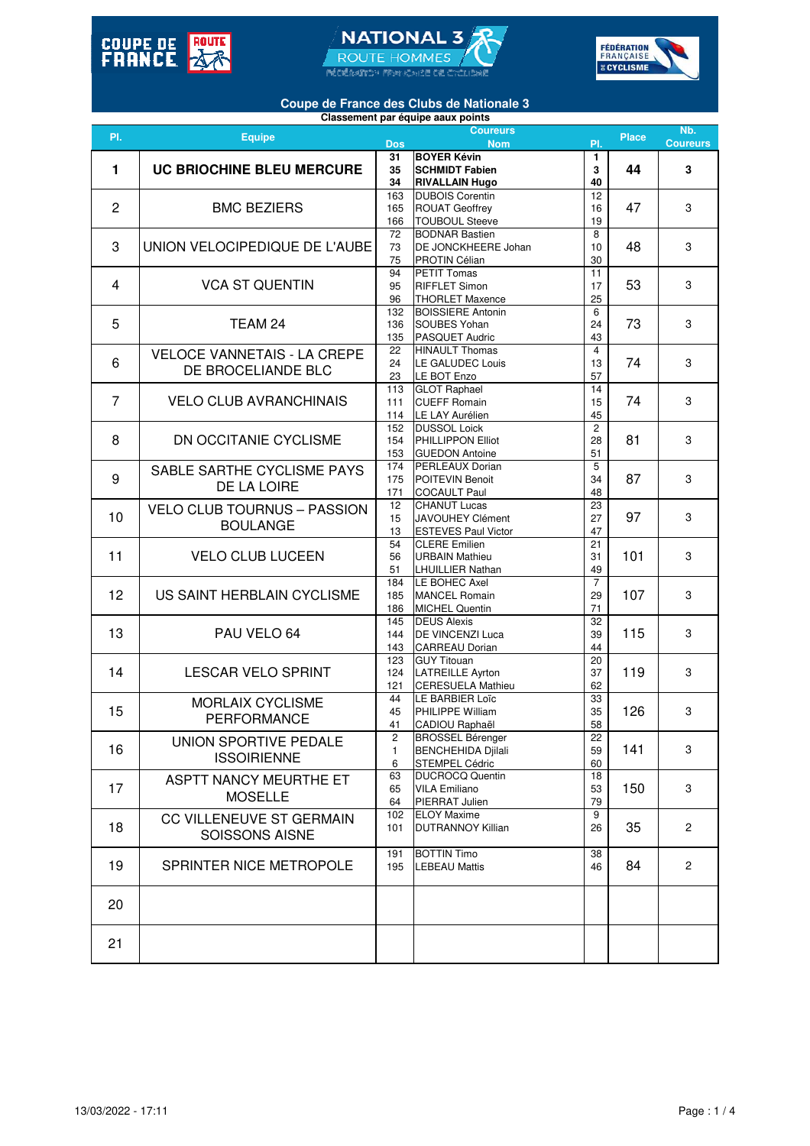





## **Coupe de France des Clubs de Nationale 3**

|                | Classement par équipe aaux points  |            |                            |                |              |                           |  |  |  |  |  |  |
|----------------|------------------------------------|------------|----------------------------|----------------|--------------|---------------------------|--|--|--|--|--|--|
| PI.            | <b>Equipe</b>                      |            | <b>Coureurs</b>            |                | <b>Place</b> | Nb.                       |  |  |  |  |  |  |
|                |                                    | <b>Dos</b> | <b>Nom</b>                 | PI.            |              | <b>Coureurs</b>           |  |  |  |  |  |  |
|                |                                    | 31         | <b>BOYER Kévin</b>         | 1              |              |                           |  |  |  |  |  |  |
| 1              | UC BRIOCHINE BLEU MERCURE          | 35         | <b>SCHMIDT Fabien</b>      | 3              | 44           | 3                         |  |  |  |  |  |  |
|                |                                    | 34         | <b>RIVALLAIN Hugo</b>      | 40             |              |                           |  |  |  |  |  |  |
|                |                                    | 163        | <b>DUBOIS Corentin</b>     | 12             |              |                           |  |  |  |  |  |  |
| $\overline{2}$ | <b>BMC BEZIERS</b>                 | 165        | <b>ROUAT Geoffrey</b>      | 16             | 47           | 3                         |  |  |  |  |  |  |
|                |                                    | 166        | <b>TOUBOUL Steeve</b>      | 19             |              |                           |  |  |  |  |  |  |
|                |                                    | 72         | <b>BODNAR Bastien</b>      | 8              |              |                           |  |  |  |  |  |  |
| 3              | UNION VELOCIPEDIQUE DE L'AUBE      | 73         | DE JONCKHEERE Johan        | 10             | 48           | 3                         |  |  |  |  |  |  |
|                |                                    |            |                            |                |              |                           |  |  |  |  |  |  |
|                |                                    | 75         | PROTIN Célian              | 30             |              |                           |  |  |  |  |  |  |
|                |                                    | 94         | <b>PETIT Tomas</b>         | 11             |              |                           |  |  |  |  |  |  |
| 4              | <b>VCA ST QUENTIN</b>              | 95         | <b>RIFFLET Simon</b>       | 17             | 53           | 3                         |  |  |  |  |  |  |
|                |                                    | 96         | <b>THORLET Maxence</b>     | 25             |              |                           |  |  |  |  |  |  |
|                |                                    | 132        | <b>BOISSIERE Antonin</b>   | 6              |              |                           |  |  |  |  |  |  |
| 5              | TEAM 24                            | 136        | SOUBES Yohan               | 24             | 73           | 3                         |  |  |  |  |  |  |
|                |                                    | 135        | PASQUET Audric             | 43             |              |                           |  |  |  |  |  |  |
|                |                                    | 22         | <b>HINAULT Thomas</b>      | $\overline{4}$ |              |                           |  |  |  |  |  |  |
| 6              | <b>VELOCE VANNETAIS - LA CREPE</b> | 24         | <b>LE GALUDEC Louis</b>    | 13             | 74           | 3                         |  |  |  |  |  |  |
|                | DE BROCELIANDE BLC                 | 23         | LE BOT Enzo                | 57             |              |                           |  |  |  |  |  |  |
|                |                                    | 113        | <b>GLOT Raphael</b>        | 14             |              |                           |  |  |  |  |  |  |
|                |                                    |            |                            |                |              |                           |  |  |  |  |  |  |
| 7              | <b>VELO CLUB AVRANCHINAIS</b>      | 111        | <b>CUEFF Romain</b>        | 15             | 74           | 3                         |  |  |  |  |  |  |
|                |                                    | 114        | LE LAY Aurélien            | 45             |              |                           |  |  |  |  |  |  |
|                |                                    | 152        | <b>DUSSOL Loick</b>        | $\overline{c}$ |              |                           |  |  |  |  |  |  |
| 8              | DN OCCITANIE CYCLISME              | 154        | PHILLIPPON Elliot          | 28             | 81           | 3                         |  |  |  |  |  |  |
|                |                                    | 153        | <b>GUEDON Antoine</b>      | 51             |              |                           |  |  |  |  |  |  |
|                | SABLE SARTHE CYCLISME PAYS         | 174        | PERLEAUX Dorian            | 5              |              |                           |  |  |  |  |  |  |
| 9              |                                    | 175        | POITEVIN Benoit            | 34             | 87           | 3                         |  |  |  |  |  |  |
|                | DE LA LOIRE                        | 171        | <b>COCAULT Paul</b>        | 48             |              |                           |  |  |  |  |  |  |
|                |                                    | 12         | <b>CHANUT Lucas</b>        | 23             |              |                           |  |  |  |  |  |  |
| 10             | <b>VELO CLUB TOURNUS - PASSION</b> |            |                            |                | 97           | 3                         |  |  |  |  |  |  |
|                | <b>BOULANGE</b>                    | 15         | <b>JAVOUHEY Clément</b>    | 27             |              |                           |  |  |  |  |  |  |
|                |                                    | 13         | <b>ESTEVES Paul Victor</b> | 47             |              |                           |  |  |  |  |  |  |
|                |                                    | 54         | <b>CLERE Emilien</b>       | 21             |              |                           |  |  |  |  |  |  |
| 11             | <b>VELO CLUB LUCEEN</b>            | 56         | <b>URBAIN Mathieu</b>      | 31             | 101          | 3                         |  |  |  |  |  |  |
|                |                                    | 51         | <b>LHUILLIER Nathan</b>    | 49             |              |                           |  |  |  |  |  |  |
|                |                                    | 184        | <b>LE BOHEC Axel</b>       | $\overline{7}$ |              |                           |  |  |  |  |  |  |
| 12             | US SAINT HERBLAIN CYCLISME         | 185        | <b>MANCEL Romain</b>       | 29             | 107          | $\ensuremath{\mathsf{3}}$ |  |  |  |  |  |  |
|                |                                    | 186        | <b>MICHEL Quentin</b>      | 71             |              |                           |  |  |  |  |  |  |
|                |                                    | 145        | <b>DEUS Alexis</b>         | 32             |              |                           |  |  |  |  |  |  |
| 13             | PAU VELO 64                        | 144        | DE VINCENZI Luca           | 39             | 115          | 3                         |  |  |  |  |  |  |
|                |                                    | 143        | <b>CARREAU Dorian</b>      | 44             |              |                           |  |  |  |  |  |  |
|                |                                    | 123        | <b>GUY Titouan</b>         | 20             |              |                           |  |  |  |  |  |  |
| 14             | <b>LESCAR VELO SPRINT</b>          |            |                            |                | 119          | 3                         |  |  |  |  |  |  |
|                |                                    | 124        | <b>LATREILLE Ayrton</b>    | 37             |              |                           |  |  |  |  |  |  |
|                |                                    | 121        | <b>CERESUELA Mathieu</b>   | 62             |              |                           |  |  |  |  |  |  |
|                | <b>MORLAIX CYCLISME</b>            | 44         | LE BARBIER Loïc            | 33             |              |                           |  |  |  |  |  |  |
| 15             |                                    | 45         | PHILIPPE William           | 35             | 126          | 3                         |  |  |  |  |  |  |
|                | PERFORMANCE                        | 41         | CADIOU Raphaël             | 58             |              |                           |  |  |  |  |  |  |
|                | UNION SPORTIVE PEDALE              | 2          | <b>BROSSEL Bérenger</b>    | 22             |              |                           |  |  |  |  |  |  |
| 16             |                                    | 1          | <b>BENCHEHIDA Djilali</b>  | 59             | 141          | 3                         |  |  |  |  |  |  |
|                | <b>ISSOIRIENNE</b>                 | 6          | STEMPEL Cédric             | 60             |              |                           |  |  |  |  |  |  |
|                |                                    | 63         | <b>DUCROCQ Quentin</b>     | 18             |              |                           |  |  |  |  |  |  |
| 17             | ASPTT NANCY MEURTHE ET             | 65         | <b>VILA Emiliano</b>       | 53             | 150          | 3                         |  |  |  |  |  |  |
|                | <b>MOSELLE</b>                     | 64         | PIERRAT Julien             | 79             |              |                           |  |  |  |  |  |  |
|                |                                    |            |                            |                |              |                           |  |  |  |  |  |  |
|                | <b>CC VILLENEUVE ST GERMAIN</b>    | 102        | <b>ELOY Maxime</b>         | 9              |              |                           |  |  |  |  |  |  |
| 18             | <b>SOISSONS AISNE</b>              | 101        | <b>DUTRANNOY Killian</b>   | 26             | 35           | $\overline{2}$            |  |  |  |  |  |  |
|                |                                    |            |                            |                |              |                           |  |  |  |  |  |  |
|                |                                    | 191        | <b>BOTTIN Timo</b>         | 38             |              |                           |  |  |  |  |  |  |
| 19             | SPRINTER NICE METROPOLE            | 195        | <b>LEBEAU Mattis</b>       | 46             | 84           | $\overline{2}$            |  |  |  |  |  |  |
|                |                                    |            |                            |                |              |                           |  |  |  |  |  |  |
|                |                                    |            |                            |                |              |                           |  |  |  |  |  |  |
| 20             |                                    |            |                            |                |              |                           |  |  |  |  |  |  |
|                |                                    |            |                            |                |              |                           |  |  |  |  |  |  |
|                |                                    |            |                            |                |              |                           |  |  |  |  |  |  |
| 21             |                                    |            |                            |                |              |                           |  |  |  |  |  |  |
|                |                                    |            |                            |                |              |                           |  |  |  |  |  |  |
|                |                                    |            |                            |                |              |                           |  |  |  |  |  |  |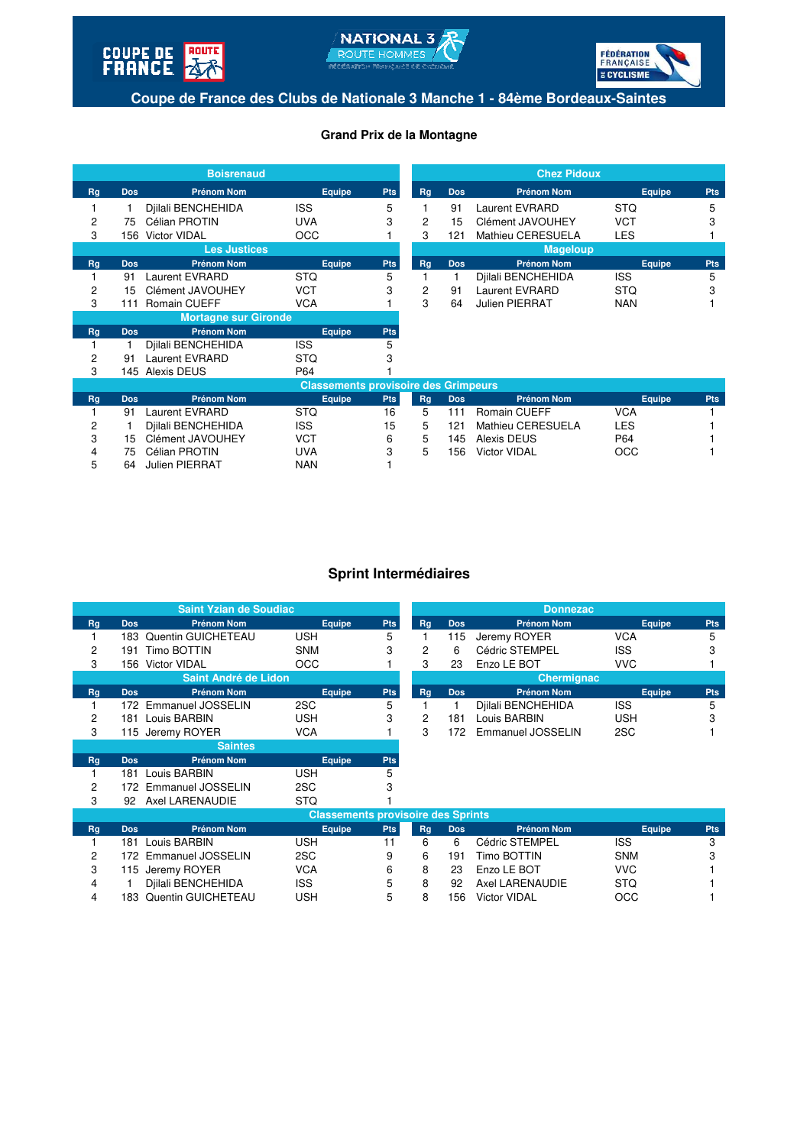





**Coupe de France des Clubs de Nationale 3 Manche 1 - 84ème Bordeaux-Saintes**

#### **Grand Prix de la Montagne**

| <b>Boisrenaud</b>           |            |                       |                                             | <b>Chez Pidoux</b> |    |            |                       |               |            |
|-----------------------------|------------|-----------------------|---------------------------------------------|--------------------|----|------------|-----------------------|---------------|------------|
| Rg                          | <b>Dos</b> | <b>Prénom Nom</b>     | Equipe                                      | <b>Pts</b>         | Rg | <b>Dos</b> | <b>Prénom Nom</b>     | <b>Equipe</b> | <b>Pts</b> |
|                             |            | Djilali BENCHEHIDA    | <b>ISS</b>                                  | 5                  |    | 91         | <b>Laurent EVRARD</b> | <b>STQ</b>    | 5          |
| 2                           | 75         | Célian PROTIN         | <b>UVA</b>                                  | 3                  | 2  | 15         | Clément JAVOUHEY      | <b>VCT</b>    | 3          |
| 3                           | 156        | <b>Victor VIDAL</b>   | <b>OCC</b>                                  |                    | 3  | 121        | Mathieu CERESUELA     | <b>LES</b>    |            |
| <b>Les Justices</b>         |            |                       |                                             |                    |    |            | <b>Mageloup</b>       |               |            |
| Rg                          | <b>Dos</b> | <b>Prénom Nom</b>     | Equipe                                      | <b>Pts</b>         | Rg | <b>Dos</b> | <b>Prénom Nom</b>     | <b>Equipe</b> | <b>Pts</b> |
|                             | 91         | Laurent EVRARD        | <b>STQ</b>                                  | 5                  |    |            | Djilali BENCHEHIDA    | <b>ISS</b>    | 5          |
| 2                           | 15         | Clément JAVOUHEY      | VCT                                         | 3                  | 2  | 91         | <b>Laurent EVRARD</b> | <b>STQ</b>    | 3          |
| 3                           | 111        | <b>Romain CUEFF</b>   | <b>VCA</b>                                  |                    | 3  | 64         | Julien PIERRAT        | <b>NAN</b>    |            |
| <b>Mortagne sur Gironde</b> |            |                       |                                             |                    |    |            |                       |               |            |
| Rg                          | <b>Dos</b> | <b>Prénom Nom</b>     | Equipe                                      | <b>Pts</b>         |    |            |                       |               |            |
|                             |            | Djilali BENCHEHIDA    | <b>ISS</b>                                  | 5                  |    |            |                       |               |            |
| 2                           | 91         | <b>Laurent EVRARD</b> | <b>STQ</b>                                  | 3                  |    |            |                       |               |            |
| 3                           | 145        | Alexis DEUS           | P64                                         |                    |    |            |                       |               |            |
|                             |            |                       | <b>Classements provisoire des Grimpeurs</b> |                    |    |            |                       |               |            |
| Rg                          | <b>Dos</b> | <b>Prénom Nom</b>     | Equipe                                      | <b>Pts</b>         | Rg | <b>Dos</b> | <b>Prénom Nom</b>     | Equipe        | <b>Pts</b> |
|                             | 91         | <b>Laurent EVRARD</b> | <b>STQ</b>                                  | 16                 | 5  | 111        | <b>Romain CUEFF</b>   | <b>VCA</b>    |            |
| 2                           | 1          | Djilali BENCHEHIDA    | <b>ISS</b>                                  | 15                 | 5  | 121        | Mathieu CERESUELA     | <b>LES</b>    |            |
| 3                           | 15         | Clément JAVOUHEY      | <b>VCT</b>                                  | 6                  | 5  | 145        | Alexis DEUS           | P64           |            |
| 4                           | 75         | Célian PROTIN         | <b>UVA</b>                                  | 3                  | 5  | 156        | <b>Victor VIDAL</b>   | OCC           |            |
| 5                           | 64         | <b>Julien PIERRAT</b> | <b>NAN</b>                                  |                    |    |            |                       |               |            |

#### **Sprint Intermédiaires**

| <b>Saint Yzian de Soudiac</b> |            |                          |            |            |                   |            | <b>Donnezac</b>    |            |            |  |
|-------------------------------|------------|--------------------------|------------|------------|-------------------|------------|--------------------|------------|------------|--|
| Rg                            | <b>Dos</b> | <b>Prénom Nom</b>        | Equipe     | <b>Pts</b> | Rg                | <b>Dos</b> | <b>Prénom Nom</b>  | Equipe     | <b>Pts</b> |  |
|                               | 183        | Quentin GUICHETEAU       | <b>USH</b> | 5          |                   | 115        | Jeremy ROYER       | <b>VCA</b> | 5          |  |
| 2                             | 191        | Timo BOTTIN              | <b>SNM</b> | 3          | 2                 | 6          | Cédric STEMPEL     | <b>ISS</b> | 3          |  |
| 3                             | 156.       | Victor VIDAL             | <b>OCC</b> |            | 3                 | 23         | Enzo LE BOT        | <b>VVC</b> |            |  |
| Saint André de Lidon          |            |                          |            |            | <b>Chermignac</b> |            |                    |            |            |  |
| Rg                            | <b>Dos</b> | Prénom Nom               | Equipe     | <b>Pts</b> | Rq                | <b>Dos</b> | <b>Prénom Nom</b>  | Equipe     | <b>Pts</b> |  |
|                               | 172.       | Emmanuel JOSSELIN        | 2SC        | 5          |                   |            | Diilali BENCHEHIDA | <b>ISS</b> | 5          |  |
| 2                             | 181        | Louis BARBIN             | <b>USH</b> | 3          | 2                 | 181        | Louis BARBIN       | <b>USH</b> | 3          |  |
| 3                             |            | 115 Jeremy ROYER         | <b>VCA</b> |            | 3                 | 172        | Emmanuel JOSSELIN  | 2SC        |            |  |
|                               |            | <b>Saintes</b>           |            |            |                   |            |                    |            |            |  |
| Rq                            | <b>Dos</b> | <b>Prénom Nom</b>        | Equipe     | <b>Pts</b> |                   |            |                    |            |            |  |
|                               | 181        | Louis BARBIN             | <b>USH</b> | 5          |                   |            |                    |            |            |  |
| 2                             | 172.       | <b>Emmanuel JOSSELIN</b> | 2SC        | 3          |                   |            |                    |            |            |  |

|                                           |     | 172 Emmanuel JOSSELIN  | 2SC        | 3    |    |            |                     |            |            |  |
|-------------------------------------------|-----|------------------------|------------|------|----|------------|---------------------|------------|------------|--|
| 3                                         |     | 92 Axel LARENAUDIE     | <b>STQ</b> |      |    |            |                     |            |            |  |
| <b>Classements provisoire des Sprints</b> |     |                        |            |      |    |            |                     |            |            |  |
| Rg                                        | Dos | <b>Prénom Nom</b>      | Equipe     | Pts. | Rq | <b>Dos</b> | <b>Prénom Nom</b>   | Equipe     | <b>Pts</b> |  |
|                                           | 181 | Louis BARBIN           | USH        | 11   | 6  | 6          | Cédric STEMPEL      | <b>ISS</b> | 3          |  |
| 2                                         |     | 172 Emmanuel JOSSELIN  | 2SC        | 9    | 6  | 191        | Timo BOTTIN         | <b>SNM</b> | 3          |  |
| 3                                         |     | 115 Jeremy ROYER       | <b>VCA</b> | 6    | 8  | 23         | Enzo LE BOT         | <b>VVC</b> |            |  |
|                                           |     | Djilali BENCHEHIDA     | <b>ISS</b> | 5    | 8  | 92         | Axel LARENAUDIE     | <b>STQ</b> |            |  |
|                                           |     | 183 Quentin GUICHETEAU | <b>USH</b> | 5    | 8  | 156        | <b>Victor VIDAL</b> | OCC        |            |  |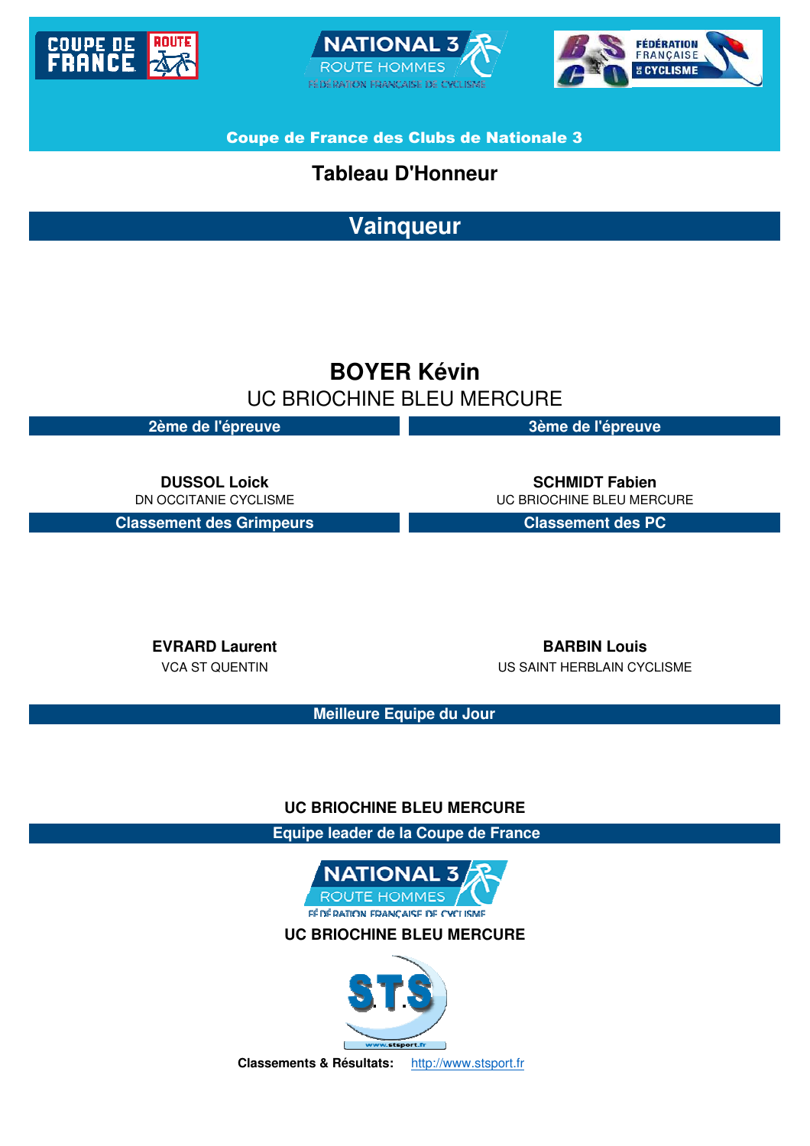





Coupe de France des Clubs de Nationale 3

## **Tableau D'Honneur**

**Vainqueur**

# **BOYER Kévin** UC BRIOCHINE BLEU MERCURE

**2ème de l'épreuve 3ème de l'épreuve**

**Classement des Grimpeurs Classement des PC**

**DUSSOL Loick SCHMIDT Fabien** DN OCCITANIE CYCLISME UNIT CHARGE THE UC BRIOCHINE BLEU MERCURE

**EVRARD Laurent BARBIN Louis** VCA ST QUENTIN US SAINT HERBLAIN CYCLISME

**Meilleure Equipe du Jour**

## **UC BRIOCHINE BLEU MERCURE**

 **Equipe leader de la Coupe de France**



**UC BRIOCHINE BLEU MERCURE**